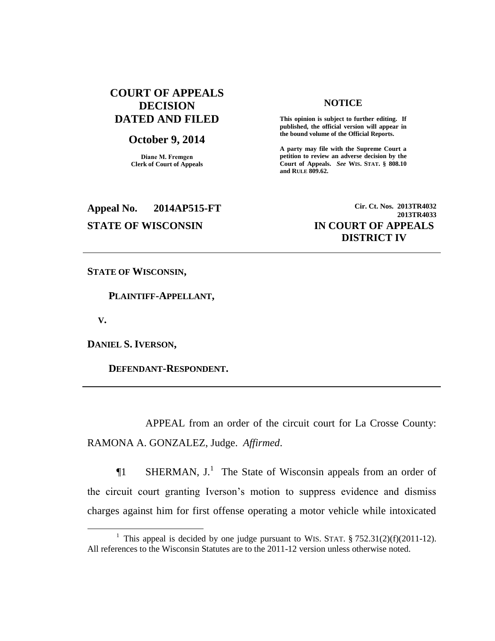## **COURT OF APPEALS DECISION DATED AND FILED**

## **October 9, 2014**

**Diane M. Fremgen Clerk of Court of Appeals**

### **NOTICE**

**This opinion is subject to further editing. If published, the official version will appear in the bound volume of the Official Reports.** 

**A party may file with the Supreme Court a petition to review an adverse decision by the Court of Appeals.** *See* **WIS. STAT. § 808.10 and RULE 809.62.** 

# **Appeal No. 2014AP515-FT Cir. Ct. Nos. 2013TR4032 STATE OF WISCONSIN IN COURT OF APPEALS**

**2013TR4033 DISTRICT IV**

**STATE OF WISCONSIN,**

 **PLAINTIFF-APPELLANT,**

 **V.**

 $\overline{a}$ 

**DANIEL S. IVERSON,**

 **DEFENDANT-RESPONDENT.**

APPEAL from an order of the circuit court for La Crosse County: RAMONA A. GONZALEZ, Judge. *Affirmed*.

**The SHERMAN, J.**<sup>1</sup> The State of Wisconsin appeals from an order of the circuit court granting Iverson's motion to suppress evidence and dismiss charges against him for first offense operating a motor vehicle while intoxicated

<sup>&</sup>lt;sup>1</sup> This appeal is decided by one judge pursuant to WIS. STAT.  $\S 752.31(2)(f)(2011-12)$ . All references to the Wisconsin Statutes are to the 2011-12 version unless otherwise noted.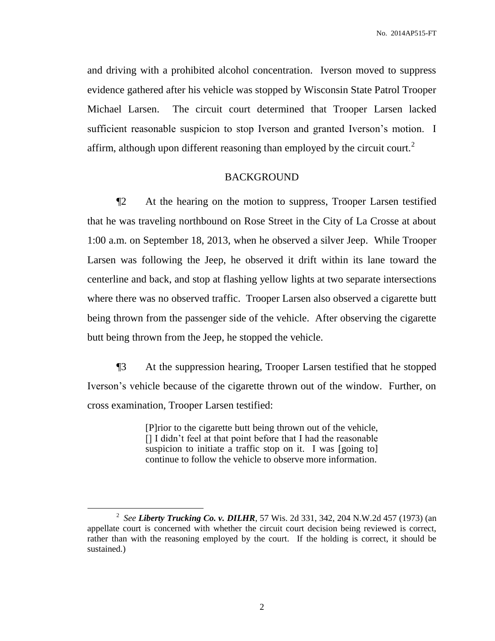and driving with a prohibited alcohol concentration. Iverson moved to suppress evidence gathered after his vehicle was stopped by Wisconsin State Patrol Trooper Michael Larsen. The circuit court determined that Trooper Larsen lacked sufficient reasonable suspicion to stop Iverson and granted Iverson's motion. I affirm, although upon different reasoning than employed by the circuit court.<sup>2</sup>

## BACKGROUND

¶2 At the hearing on the motion to suppress, Trooper Larsen testified that he was traveling northbound on Rose Street in the City of La Crosse at about 1:00 a.m. on September 18, 2013, when he observed a silver Jeep. While Trooper Larsen was following the Jeep, he observed it drift within its lane toward the centerline and back, and stop at flashing yellow lights at two separate intersections where there was no observed traffic. Trooper Larsen also observed a cigarette butt being thrown from the passenger side of the vehicle. After observing the cigarette butt being thrown from the Jeep, he stopped the vehicle.

¶3 At the suppression hearing, Trooper Larsen testified that he stopped Iverson's vehicle because of the cigarette thrown out of the window. Further, on cross examination, Trooper Larsen testified:

> [P]rior to the cigarette butt being thrown out of the vehicle, [] I didn't feel at that point before that I had the reasonable suspicion to initiate a traffic stop on it. I was [going to] continue to follow the vehicle to observe more information.

 $\overline{a}$ 

2

<sup>2</sup> *See Liberty Trucking Co. v. DILHR*, 57 Wis. 2d 331, 342, 204 N.W.2d 457 (1973) (an appellate court is concerned with whether the circuit court decision being reviewed is correct, rather than with the reasoning employed by the court. If the holding is correct, it should be sustained.)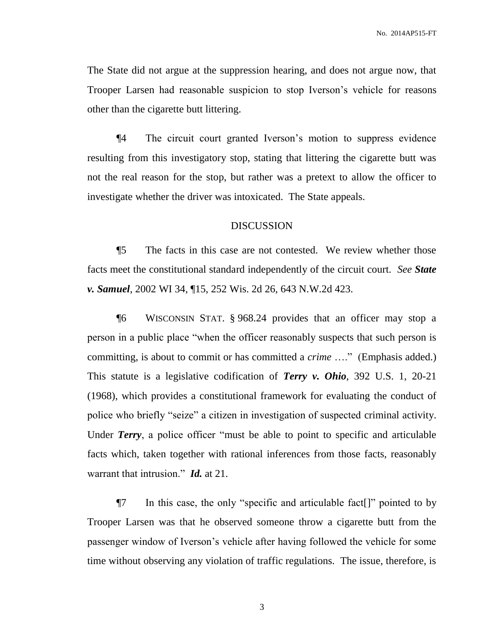The State did not argue at the suppression hearing, and does not argue now, that Trooper Larsen had reasonable suspicion to stop Iverson's vehicle for reasons other than the cigarette butt littering.

¶4 The circuit court granted Iverson's motion to suppress evidence resulting from this investigatory stop, stating that littering the cigarette butt was not the real reason for the stop, but rather was a pretext to allow the officer to investigate whether the driver was intoxicated. The State appeals.

### DISCUSSION

¶5 The facts in this case are not contested. We review whether those facts meet the constitutional standard independently of the circuit court. *See State v. Samuel*, 2002 WI 34, ¶15, 252 Wis. 2d 26, 643 N.W.2d 423.

¶6 WISCONSIN STAT. § 968.24 provides that an officer may stop a person in a public place "when the officer reasonably suspects that such person is committing, is about to commit or has committed a *crime* …." (Emphasis added.) This statute is a legislative codification of *Terry v. Ohio*, 392 U.S. 1, 20-21 (1968), which provides a constitutional framework for evaluating the conduct of police who briefly "seize" a citizen in investigation of suspected criminal activity. Under *Terry*, a police officer "must be able to point to specific and articulable facts which, taken together with rational inferences from those facts, reasonably warrant that intrusion." *Id.* at 21.

¶7 In this case, the only "specific and articulable fact[]" pointed to by Trooper Larsen was that he observed someone throw a cigarette butt from the passenger window of Iverson's vehicle after having followed the vehicle for some time without observing any violation of traffic regulations. The issue, therefore, is

3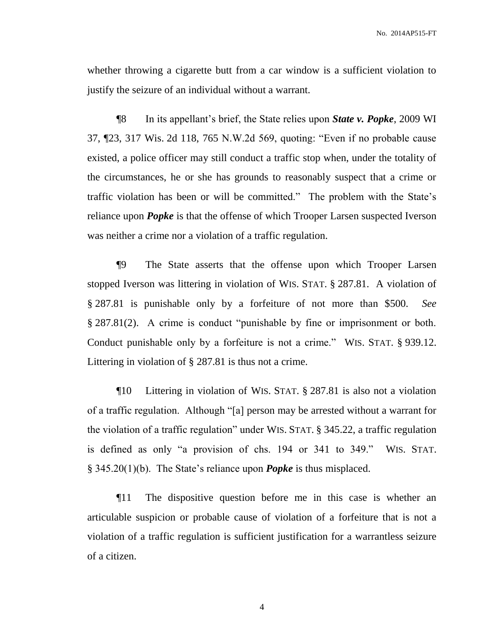No. 2014AP515-FT

whether throwing a cigarette butt from a car window is a sufficient violation to justify the seizure of an individual without a warrant.

¶8 In its appellant's brief, the State relies upon *State v. Popke*, 2009 WI 37, ¶23, 317 Wis. 2d 118, 765 N.W.2d 569, quoting: "Even if no probable cause existed, a police officer may still conduct a traffic stop when, under the totality of the circumstances, he or she has grounds to reasonably suspect that a crime or traffic violation has been or will be committed." The problem with the State's reliance upon *Popke* is that the offense of which Trooper Larsen suspected Iverson was neither a crime nor a violation of a traffic regulation.

¶9 The State asserts that the offense upon which Trooper Larsen stopped Iverson was littering in violation of WIS. STAT. § 287.81. A violation of § 287.81 is punishable only by a forfeiture of not more than \$500. *See*  § 287.81(2). A crime is conduct "punishable by fine or imprisonment or both. Conduct punishable only by a forfeiture is not a crime." WIS. STAT. § 939.12. Littering in violation of § 287.81 is thus not a crime.

¶10 Littering in violation of WIS. STAT. § 287.81 is also not a violation of a traffic regulation. Although "[a] person may be arrested without a warrant for the violation of a traffic regulation" under WIS. STAT. § 345.22, a traffic regulation is defined as only "a provision of chs. 194 or 341 to 349." WIS. STAT. § 345.20(1)(b). The State's reliance upon *Popke* is thus misplaced.

¶11 The dispositive question before me in this case is whether an articulable suspicion or probable cause of violation of a forfeiture that is not a violation of a traffic regulation is sufficient justification for a warrantless seizure of a citizen.

4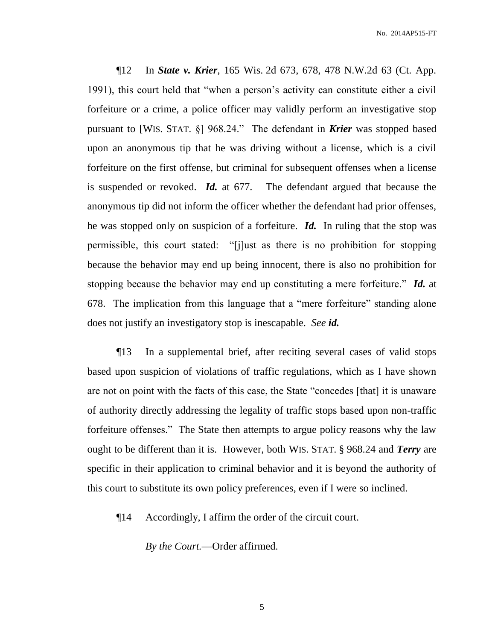¶12 In *State v. Krier*, 165 Wis. 2d 673, 678, 478 N.W.2d 63 (Ct. App. 1991), this court held that "when a person's activity can constitute either a civil forfeiture or a crime, a police officer may validly perform an investigative stop pursuant to [WIS. STAT. §] 968.24." The defendant in *Krier* was stopped based upon an anonymous tip that he was driving without a license, which is a civil forfeiture on the first offense, but criminal for subsequent offenses when a license is suspended or revoked. *Id.* at 677. The defendant argued that because the anonymous tip did not inform the officer whether the defendant had prior offenses, he was stopped only on suspicion of a forfeiture. *Id.* In ruling that the stop was permissible, this court stated: "[j]ust as there is no prohibition for stopping because the behavior may end up being innocent, there is also no prohibition for stopping because the behavior may end up constituting a mere forfeiture." *Id.* at 678. The implication from this language that a "mere forfeiture" standing alone does not justify an investigatory stop is inescapable. *See id.*

¶13 In a supplemental brief, after reciting several cases of valid stops based upon suspicion of violations of traffic regulations, which as I have shown are not on point with the facts of this case, the State "concedes [that] it is unaware of authority directly addressing the legality of traffic stops based upon non-traffic forfeiture offenses." The State then attempts to argue policy reasons why the law ought to be different than it is. However, both WIS. STAT. § 968.24 and *Terry* are specific in their application to criminal behavior and it is beyond the authority of this court to substitute its own policy preferences, even if I were so inclined.

¶14 Accordingly, I affirm the order of the circuit court.

*By the Court.*—Order affirmed.